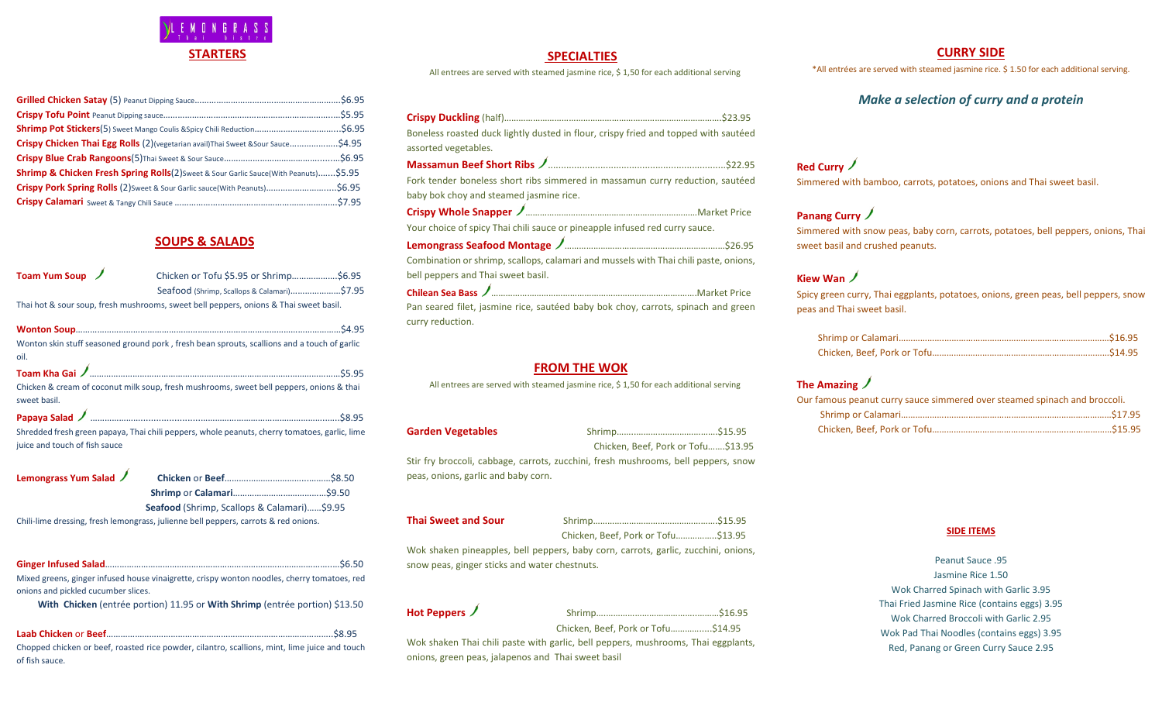

| Crispy Chicken Thai Egg Rolls (2)(vegetarian avail)Thai Sweet & Sour Sauce\$4.95                 |  |
|--------------------------------------------------------------------------------------------------|--|
|                                                                                                  |  |
| <b>Shrimp &amp; Chicken Fresh Spring Rolls</b> (2) Sweet & Sour Garlic Sauce(With Peanuts)\$5.95 |  |
| Crispy Pork Spring Rolls (2) Sweet & Sour Garlic sauce (With Peanuts) \$6.95                     |  |
|                                                                                                  |  |

## **SOUPS & SALADS**

| Toam Yum Soup / | Chicken or Tofu \$5.95 or Shrimp\$6.95                                                |  |
|-----------------|---------------------------------------------------------------------------------------|--|
|                 | Seafood (Shrimp, Scallops & Calamari)\$7.95                                           |  |
|                 | Thai hot & sour soup, fresh mushrooms, sweet bell peppers, onions & Thai sweet basil. |  |

| Wonton skin stuff seasoned ground pork, fresh bean sprouts, scallions and a touch of garlic   |
|-----------------------------------------------------------------------------------------------|
| oil.                                                                                          |
|                                                                                               |
| Chicken & cream of coconut milk soup, fresh mushrooms, sweet bell peppers, onions & thai      |
| sweet basil.                                                                                  |
|                                                                                               |
| Shredded fresh green papaya, Thai chili peppers, whole peanuts, cherry tomatoes, garlic, lime |
| juice and touch of fish sauce                                                                 |

| Lemongrass Yum Salad ノ |                                                    |  |
|------------------------|----------------------------------------------------|--|
|                        |                                                    |  |
|                        | <b>Seafood</b> (Shrimp, Scallops & Calamari)\$9.95 |  |

Chili-lime dressing, fresh lemongrass, julienne bell peppers, carrots & red onions.

| Mixed greens, ginger infused house vinaigrette, crispy wonton noodles, cherry tomatoes, red |
|---------------------------------------------------------------------------------------------|
| onions and pickled cucumber slices.                                                         |
| With Chicken (entrée portion) 11.95 or With Shrimp (entrée portion) \$13.50                 |

| Chopped chicken or beef, roasted rice powder, cilantro, scallions, mint, lime juice and touch |  |
|-----------------------------------------------------------------------------------------------|--|
| of fish sauce.                                                                                |  |

## **SPECIALTIES**

All entrees are served with steamed jasmine rice, \$ 1,50 for each additional serving

| Boneless roasted duck lightly dusted in flour, crispy fried and topped with sautéed<br>assorted vegetables.                |  |
|----------------------------------------------------------------------------------------------------------------------------|--|
|                                                                                                                            |  |
| Fork tender boneless short ribs simmered in massamun curry reduction, sautéed                                              |  |
| baby bok choy and steamed jasmine rice.                                                                                    |  |
|                                                                                                                            |  |
| Your choice of spicy Thai chili sauce or pineapple infused red curry sauce.                                                |  |
|                                                                                                                            |  |
| Combination or shrimp, scallops, calamari and mussels with Thai chili paste, onions,<br>bell peppers and Thai sweet basil. |  |
|                                                                                                                            |  |
| Pan seared filet, jasmine rice, sautéed baby bok choy, carrots, spinach and green                                          |  |
| curry reduction.                                                                                                           |  |
|                                                                                                                            |  |
|                                                                                                                            |  |

#### **FROM THE WOK**

All entrees are served with steamed jasmine rice, \$ 1,50 for each additional serving

**Garden Vegetables** Shrimp……..…………………………….\$15.95 Chicken, Beef, Pork or Tofu…….\$13.95

Stir fry broccoli, cabbage, carrots, zucchini, fresh mushrooms, bell peppers, snow peas, onions, garlic and baby corn.

**Thai Sweet and Sour** Shrimp…………………………………………….\$15.95 Chicken, Beef, Pork or Tofu……………..\$13.95

Wok shaken pineapples, bell peppers, baby corn, carrots, garlic, zucchini, onions, snow peas, ginger sticks and water chestnuts.

**Hot Peppers** Shrimp….………………………………..………\$16.95

Chicken, Beef, Pork or Tofu………….....\$14.95

Wok shaken Thai chili paste with garlic, bell peppers, mushrooms, Thai eggplants, onions, green peas, jalapenos and Thai sweet basil

### **CURRY SIDE**

\*All entrées are served with steamed jasmine rice. \$ 1.50 for each additional serving.

## *Make a selection of curry and a protein*

**Red Curry** Simmered with bamboo, carrots, potatoes, onions and Thai sweet basil.

## **Panang Curry**

Simmered with snow peas, baby corn, carrots, potatoes, bell peppers, onions, Thai sweet basil and crushed peanuts.

## **Kiew Wan**

Spicy green curry, Thai eggplants, potatoes, onions, green peas, bell peppers, snow peas and Thai sweet basil.

## **The Amazing**

| Our famous peanut curry sauce simmered over steamed spinach and broccoli. |  |
|---------------------------------------------------------------------------|--|
|                                                                           |  |
|                                                                           |  |

#### **SIDE ITEMS**

Peanut Sauce .95 Jasmine Rice 1.50 Wok Charred Spinach with Garlic 3.95 Thai Fried Jasmine Rice (contains eggs) 3.95 Wok Charred Broccoli with Garlic 2.95 Wok Pad Thai Noodles (contains eggs) 3.95 Red, Panang or Green Curry Sauce 2.95